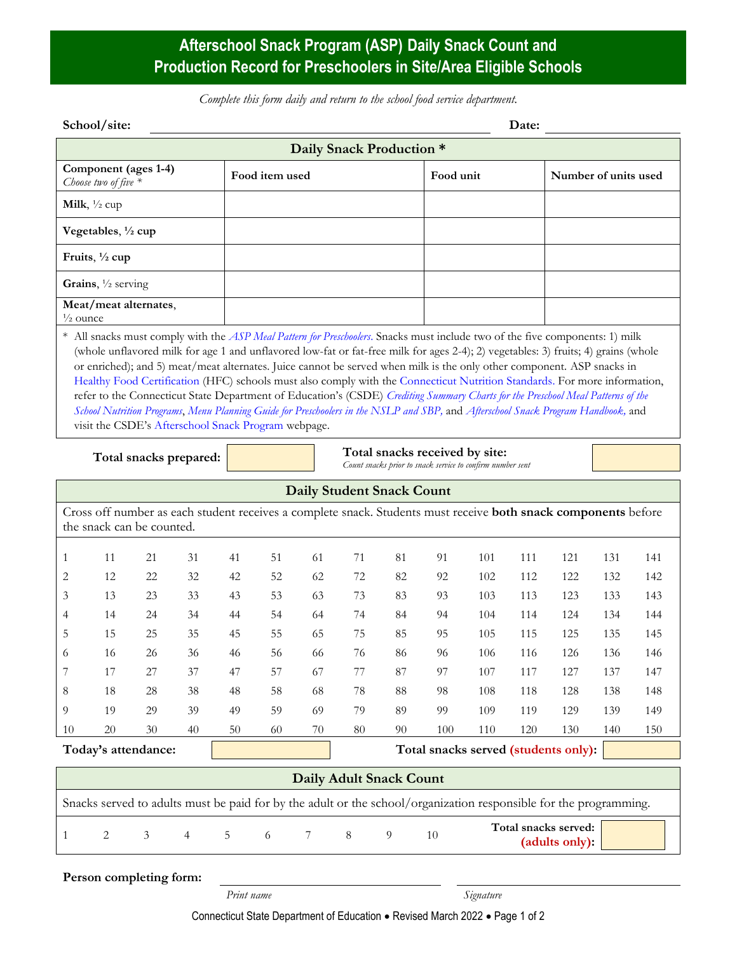## **Afterschool Snack Program (ASP) Daily Snack Count and Production Record for Preschoolers in Site/Area Eligible Schools**

*Complete this form daily and return to the school food service department.*

| Component (ages 1-4)<br>Choose two of five $*$<br>Milk, $\frac{1}{2}$ cup<br>Vegetables, 1/2 cup<br>Fruits, $\frac{1}{2}$ cup<br>Grains, $\frac{1}{2}$ serving<br>Meat/meat alternates,<br>$\frac{1}{2}$ ounce<br>* All snacks must comply with the <i>ASP Meal Pattern for Preschoolers</i> . Snacks must include two of the five components: 1) milk<br>(whole unflavored milk for age 1 and unflavored low-fat or fat-free milk for ages 2-4); 2) vegetables: 3) fruits; 4) grains (whole                                                                                      |    | Food item used |    |         | Daily Snack Production *         | Food unit                                                  |                                        |     | Number of units used |     |     |
|-----------------------------------------------------------------------------------------------------------------------------------------------------------------------------------------------------------------------------------------------------------------------------------------------------------------------------------------------------------------------------------------------------------------------------------------------------------------------------------------------------------------------------------------------------------------------------------|----|----------------|----|---------|----------------------------------|------------------------------------------------------------|----------------------------------------|-----|----------------------|-----|-----|
|                                                                                                                                                                                                                                                                                                                                                                                                                                                                                                                                                                                   |    |                |    |         |                                  |                                                            |                                        |     |                      |     |     |
|                                                                                                                                                                                                                                                                                                                                                                                                                                                                                                                                                                                   |    |                |    |         |                                  |                                                            |                                        |     |                      |     |     |
|                                                                                                                                                                                                                                                                                                                                                                                                                                                                                                                                                                                   |    |                |    |         |                                  |                                                            |                                        |     |                      |     |     |
|                                                                                                                                                                                                                                                                                                                                                                                                                                                                                                                                                                                   |    |                |    |         |                                  |                                                            |                                        |     |                      |     |     |
|                                                                                                                                                                                                                                                                                                                                                                                                                                                                                                                                                                                   |    |                |    |         |                                  |                                                            |                                        |     |                      |     |     |
|                                                                                                                                                                                                                                                                                                                                                                                                                                                                                                                                                                                   |    |                |    |         |                                  |                                                            |                                        |     |                      |     |     |
|                                                                                                                                                                                                                                                                                                                                                                                                                                                                                                                                                                                   |    |                |    |         |                                  |                                                            |                                        |     |                      |     |     |
| or enriched); and 5) meat/meat alternates. Juice cannot be served when milk is the only other component. ASP snacks in<br>Healthy Food Certification (HFC) schools must also comply with the Connecticut Nutrition Standards. For more information,<br>refer to the Connecticut State Department of Education's (CSDE) Crediting Summary Charts for the Preschool Meal Patterns of the<br>School Nutrition Programs, Menu Planning Guide for Preschoolers in the NSLP and SBP, and Afterschool Snack Program Handbook, and<br>visit the CSDE's Afterschool Snack Program webpage. |    |                |    |         |                                  | Total snacks received by site:                             |                                        |     |                      |     |     |
| Total snacks prepared:                                                                                                                                                                                                                                                                                                                                                                                                                                                                                                                                                            |    |                |    |         |                                  | Count snacks prior to snack service to confirm number sent |                                        |     |                      |     |     |
|                                                                                                                                                                                                                                                                                                                                                                                                                                                                                                                                                                                   |    |                |    |         | <b>Daily Student Snack Count</b> |                                                            |                                        |     |                      |     |     |
| Cross off number as each student receives a complete snack. Students must receive <b>both snack components</b> before<br>the snack can be counted.                                                                                                                                                                                                                                                                                                                                                                                                                                |    |                |    |         |                                  |                                                            |                                        |     |                      |     |     |
| 11<br>21<br>31                                                                                                                                                                                                                                                                                                                                                                                                                                                                                                                                                                    | 41 | 51             | 61 | 71      | 81                               | 91                                                         | 101                                    | 111 | 121                  | 131 | 141 |
| 12<br>22<br>32                                                                                                                                                                                                                                                                                                                                                                                                                                                                                                                                                                    | 42 | 52             | 62 | 72      | 82                               | 92                                                         | 102                                    | 112 | 122                  | 132 | 142 |
| 13<br>23<br>33                                                                                                                                                                                                                                                                                                                                                                                                                                                                                                                                                                    | 43 | 53             | 63 | 73      | 83                               | 93                                                         | 103                                    | 113 | 123                  | 133 | 143 |
| 14<br>24<br>34                                                                                                                                                                                                                                                                                                                                                                                                                                                                                                                                                                    | 44 | 54             | 64 | 74      | 84                               | 94                                                         | 104                                    | 114 | 124                  | 134 | 144 |
| 15<br>25<br>35                                                                                                                                                                                                                                                                                                                                                                                                                                                                                                                                                                    | 45 | 55             | 65 | 75      | 85                               | 95                                                         | 105                                    | 115 | 125                  | 135 | 145 |
| 16<br>26<br>36                                                                                                                                                                                                                                                                                                                                                                                                                                                                                                                                                                    | 46 | 56             | 66 | 76      | 86                               | 96                                                         | 106                                    | 116 | 126                  | 136 | 146 |
| 17<br>37<br>27                                                                                                                                                                                                                                                                                                                                                                                                                                                                                                                                                                    | 47 | 57             | 67 | 77      | 87                               | 97                                                         | 107                                    | 117 | 127                  | 137 | 147 |
| 18<br>28<br>38                                                                                                                                                                                                                                                                                                                                                                                                                                                                                                                                                                    | 48 | 58             | 68 | 78      | 88                               | 98                                                         | 108                                    | 118 | 128                  | 138 | 148 |
| 19<br>29<br>39                                                                                                                                                                                                                                                                                                                                                                                                                                                                                                                                                                    | 49 | 59             | 69 | 79      | 89                               | 99                                                         | 109                                    | 119 | 129                  | 139 | 149 |
| 20<br>30<br>40                                                                                                                                                                                                                                                                                                                                                                                                                                                                                                                                                                    | 50 | 60             | 70 | 80      | 90                               | 100                                                        | 110                                    | 120 | 130                  | 140 | 150 |
| Today's attendance:                                                                                                                                                                                                                                                                                                                                                                                                                                                                                                                                                               |    |                |    |         |                                  | Total snacks served (students only):                       |                                        |     |                      |     |     |
|                                                                                                                                                                                                                                                                                                                                                                                                                                                                                                                                                                                   |    |                |    |         | <b>Daily Adult Snack Count</b>   |                                                            |                                        |     |                      |     |     |
| Snacks served to adults must be paid for by the adult or the school/organization responsible for the programming.                                                                                                                                                                                                                                                                                                                                                                                                                                                                 |    |                |    |         |                                  |                                                            |                                        |     |                      |     |     |
| 2<br>3<br>4                                                                                                                                                                                                                                                                                                                                                                                                                                                                                                                                                                       | 5  | 6              | 7  | $\,8\,$ | $\overline{9}$                   | $10\,$                                                     | Total snacks served:<br>(adults only): |     |                      |     |     |
| Person completing form:                                                                                                                                                                                                                                                                                                                                                                                                                                                                                                                                                           |    |                |    |         |                                  |                                                            |                                        |     |                      |     |     |

*Print name Signature*